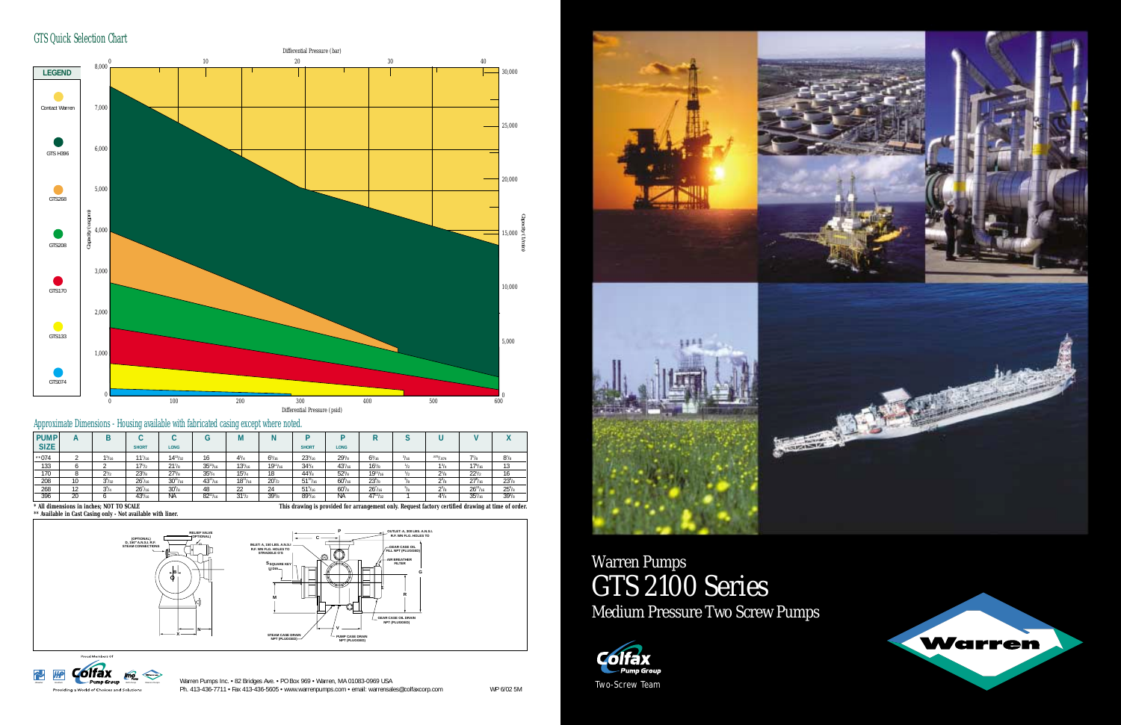|            |                    |                     |                    | u               | М               |                 |                     |                |                     |               |              |                     |            |
|------------|--------------------|---------------------|--------------------|-----------------|-----------------|-----------------|---------------------|----------------|---------------------|---------------|--------------|---------------------|------------|
|            |                    | <b>SHORT</b>        | <b>LONG</b>        |                 |                 |                 | <b>SHORT</b>        | <b>LONG</b>    |                     |               |              |                     |            |
|            | 1 <sup>3</sup> /16 | 11 <sup>7</sup> /16 | $14^{13}/_{32}$    | 16              | $4^{3}/_{4}$    | $6^{5}/_{16}$   | $23^{5}/_{16}$      | $29^{3}/s$     | $6^3/16$            | $^{3}/_{16}$  | .875 / .874  | 7 <sup>7</sup> /8   | $8^{7}/8$  |
|            |                    | 17 <sup>1</sup> /2  | 21 <sup>7</sup> /s | $35^{13}/_{16}$ | $13^{3}/_{16}$  | $19^{11}/_{16}$ | $34^{3}/4$          | $43^{7}/_{16}$ | $16^{1}/s$          |               | $1^3/4$      | $17^{5}/_{16}$      | 13         |
|            | $2^{1/2}$          | $23^{3}/s$          | $27^{3}/s$         | $35^{3}/4$      | $15^{3}/4$      | 18              | $44^{3}/s$          | $52^{3}/s$     | $19^{11}/_{16}$     |               | $2^{1/8}$    | $22^{1/2}$          | 16         |
| 10         | $3^{5}/_{32}$      | 26 <sup>7</sup> /16 | $30^{11}/_{16}$    | $43^{11}/_{16}$ | $18^{11}/_{16}$ | $20^{1/2}$      | $51^{15}/_{16}$     | $60\%_{16}$    | $23^{5}/s$          |               | $2^{3}/8$    | $27\frac{9}{16}$    | $23^{5}/s$ |
| 12<br>I Z. | $3^{3}/4$          | 26 <sup>7</sup> /16 | $30^{5}/s$         | 48              | 22              | 24              | 51 <sup>5</sup> /16 | $60^{3}/s$     | 26 <sup>7</sup> /16 | $5I_{\alpha}$ | $2^{3}/8$    | $26^{13}/_{16}$     | $25^{5}/s$ |
| 20         |                    | $43^{5}/_{16}$      | <b>NA</b>          | $82^{11}/_{16}$ | $31^{1/2}$      | $39^{3}/s$      | $89^{3}/_{16}$      | <b>NA</b>      | $47^{11}/_{32}$     |               | $4^{3}/_{4}$ | 35 <sup>7</sup> /16 | $39^{3}/8$ |
|            |                    |                     |                    |                 |                 |                 |                     |                |                     |               |              |                     |            |

Warren Pumps Inc. • 82 Bridges Ave. • PO Box 969 • Warren, MA 01083-0969 USA Ph. 413-436-7711 • Fax 413-436-5605 • www.warrenpumps.com • email: warrensales@colfaxcorp.com WP 6/02 5M









**This drawing is provided for arrangement only. Request factory certified drawing at time of order.** 

GTS Quick Selection Chart







#### Approximate Dimensions - Housing available with fabricated casing except where noted.

# Warren Pumps GTS 2100 Series Medium Pressure Two Screw Pumps

**\*\* Available in Cast Casing only - Not available with liner.**